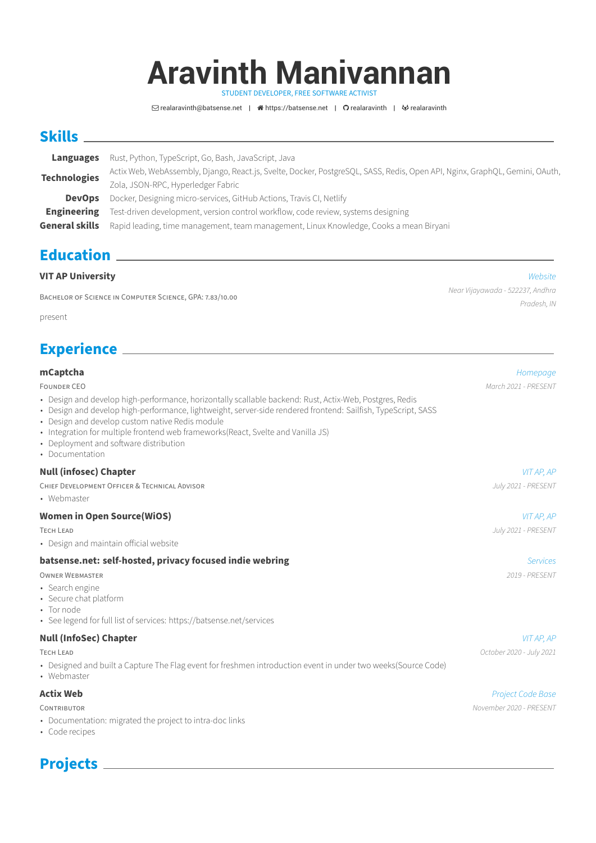# **Aravinth Manivannan**

STUDENT DEVELOPER, FREE SOFTWARE ACTIVIST

 $\Box$  [realaravinth@batsense.net](mailto:realaravinth@batsense.net) |  $\triangleleft$  [https://batsense.net](http://https://batsense.net) |  $\Omega$  [realaravinth](https://gitlab.com/realaravinth) |  $\triangleleft$  realaravinth

## **Skills**

|                       | Languages Rust, Python, TypeScript, Go, Bash, JavaScript, Java                                                              |  |
|-----------------------|-----------------------------------------------------------------------------------------------------------------------------|--|
| <b>Technologies</b>   | Actix Web, WebAssembly, Django, React.js, Svelte, Docker, PostgreSQL, SASS, Redis, Open API, Nginx, GraphQL, Gemini, OAuth, |  |
|                       | Zola, JSON-RPC, Hyperledger Fabric                                                                                          |  |
| <b>DevOps</b>         | Docker, Designing micro-services, GitHub Actions, Travis CI, Netlify                                                        |  |
| Engineering           | Test-driven development, version control workflow, code review, systems designing                                           |  |
| <b>General skills</b> | Rapid leading, time management, team management, Linux Knowledge, Cooks a mean Biryani                                      |  |

## **Education**

| <b>VIT AP University</b> | Website |
|--------------------------|---------|
|                          |         |

BACHELOR OF SCIENCE IN COMPUTER SCIENCE, GPA: 7.83/10.00

present

## **Experience**

#### **mCaptcha** [Homepage](https://mcaptcha.org) **Manufacture in the contract of the contract of the contract of the contract of the contract of the contract of the contract of the contract of the contract of the contract of the contract of the contra**

FOUNDER CEO March 2021 - PRESENT

- Design and develop high-performance, horizontally scallable backend: Rust, Actix-Web, Postgres, Redis
- Design and develop high-performance, lightweight, server-side rendered frontend: Sailfish, TypeScript, SASS
- Design and develop custom native Redis module
- Integration for multiple frontend web frameworks(React, Svelte and Vanilla JS)
- Deployment and software distribution
- Documentation

## **Null (infosec) Chapter** VIT AP, AP

| CHIEF DEVELOPMENT OFFICER & TECHNICAL ADVISOR | July 2021 - PRESENT |
|-----------------------------------------------|---------------------|
|                                               |                     |

• Webmaster

## **Women in Open Source(WiOS)** VIT AP, AP, AP, A RESERVE AND RESERVE A RESERVE A RESERVE A RESERVE A RESERVE A RESERVE A RESERVE A RESERVE A RESERVE A RESERVE A RESERVE A RESERVE A RESERVE A RESERVE A RESERVE A RESERVE A RES

| TECH LEAD                              | July 2021 - PRESENT |
|----------------------------------------|---------------------|
| • Design and maintain official website |                     |

#### **batsense.net: self-hosted, privacy focused indie webring [Services](https://batsense.net/services) And The Services Services**

- OWNER WEBMASTER 2019 PRESENT
- [Search engine](https://searx.batsense.net)
- [Secure chat platform](https://matrix.batsense.net)
- Tor node
- See [legend](https://batsense.net/services) for full list of services:<https://batsense.net/services>

## **Null (InfoSec) Chapter**  $VITAP$ ,  $AP$

- Designed and built a Capture The Flag event for freshmen introduction event in under two weeks[\(Source Code\)](https://github.com/realaravinth/hunion-backend)
- Webmaster

- Documentation: migrated the project to intra-doc links
- Code recipes

Near Vijayawada - 522237, Andhra Pradesh, IN

**Actix Web** [Project Code Base](https://github.com/actix/) CONTRIBUTOR **CONTRIBUTOR** November 2020 - PRESENT

TECH LEAD October 2020 - July 2021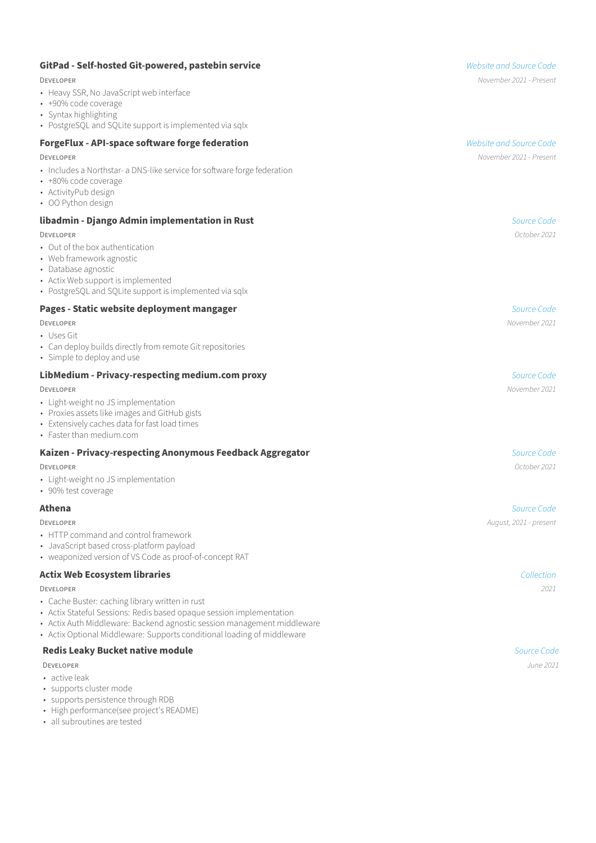| GitPad - Self-hosted Git-powered, pastebin service                                                                                                                                                 | <b>Website and Source Code</b> |
|----------------------------------------------------------------------------------------------------------------------------------------------------------------------------------------------------|--------------------------------|
| <b>DEVELOPER</b>                                                                                                                                                                                   | November 2021 - Present        |
| • Heavy SSR, No JavaScript web interface<br>• +90% code coverage<br>• Syntax highlighting<br>• PostgreSQL and SQLite support is implemented via sqlx                                               |                                |
| <b>ForgeFlux - API-space software forge federation</b>                                                                                                                                             | <b>Website and Source Code</b> |
| <b>DEVELOPER</b>                                                                                                                                                                                   | November 2021 - Present        |
| • Includes a Northstar- a DNS-like service for software forge federation<br>• +80% code coverage<br>• ActivityPub design<br>• OO Python design                                                     |                                |
| libadmin - Django Admin implementation in Rust                                                                                                                                                     | Source Code                    |
| <b>DEVELOPER</b>                                                                                                                                                                                   | October 2021                   |
| • Out of the box authentication<br>• Web framework agnostic<br>• Database agnostic<br>• Actix Web support is implemented<br>• PostgreSQL and SQLite support is implemented via sqlx                |                                |
| Pages - Static website deployment mangager                                                                                                                                                         | Source Code                    |
| <b>DEVELOPER</b>                                                                                                                                                                                   | November 2021                  |
| • Uses Git<br>• Can deploy builds directly from remote Git repositories<br>• Simple to deploy and use                                                                                              |                                |
| LibMedium - Privacy-respecting medium.com proxy                                                                                                                                                    | Source Code                    |
| <b>DEVELOPER</b>                                                                                                                                                                                   | November 2021                  |
| • Light-weight no JS implementation<br>• Proxies assets like images and GitHub gists<br>• Extensively caches data for fast load times<br>• Faster than medium.com                                  |                                |
| Kaizen - Privacy-respecting Anonymous Feedback Aggregator                                                                                                                                          | Source Code                    |
| <b>DEVELOPER</b>                                                                                                                                                                                   | October 2021                   |
| • Light-weight no JS implementation<br>• 90% test coverage                                                                                                                                         |                                |
| Athena                                                                                                                                                                                             | Source Code                    |
| <b>DEVELOPER</b>                                                                                                                                                                                   | August, 2021 - present         |
| • HTTP command and control framework<br>• JavaScript based cross-platform payload<br>• weaponized version of VS Code as proof-of-concept RAT                                                       |                                |
| <b>Actix Web Ecosystem libraries</b>                                                                                                                                                               | Collection                     |
| <b>DEVELOPER</b>                                                                                                                                                                                   | 2021                           |
| • Cache Buster: caching library written in rust<br>• Actix Stateful Sessions: Redis based opaque session implementation<br>• Actix Auth Middleware: Backend agnostic session management middleware |                                |

• [Actix Optional Middleware:](https://github.com/realaravinth/actix-optional-middleware) Supports conditional loading of middleware

## **Redis Leaky Bucket native module [Source Code](https://github.com/realaravinth/redis-leaky-bucket)**

- **DEVELOPER** June 2021
- active leak
- supports cluster mode
- supports persistence through RDB
- High performance(see project's README)
- all subroutines are tested